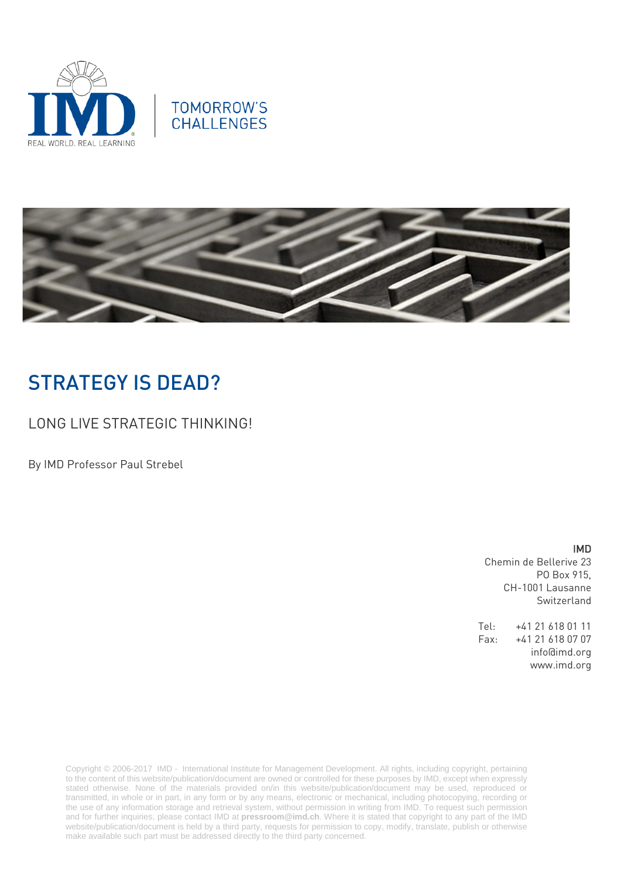





# STRATEGY IS DEAD?

LONG LIVE STRATEGIC THINKING!

By IMD Professor Paul Strebel

IMD Chemin de Bellerive 23 PO Box 915, CH-1001 Lausanne Switzerland

Tel: +41 21 618 01 11 Fax: +41 21 618 07 07 info@imd.org www.imd.org

Copyright © 2006-2017 IMD - International Institute for Management Development. All rights, including copyright, pertaining to the content of this website/publication/document are owned or controlled for these purposes by IMD, except when expressly stated otherwise. None of the materials provided on/in this website/publication/document may be used, reproduced or transmitted, in whole or in part, in any form or by any means, electronic or mechanical, including photocopying, recording or the use of any information storage and retrieval system, without permission in writing from IMD. To request such permission and for further inquiries, please contact IMD at **[pressroom@imd.ch](mailto:pressroom@imd.ch)**. Where it is stated that copyright to any part of the IMD website/publication/document is held by a third party, requests for permission to copy, modify, translate, publish or otherwise make available such part must be addressed directly to the third party concerned.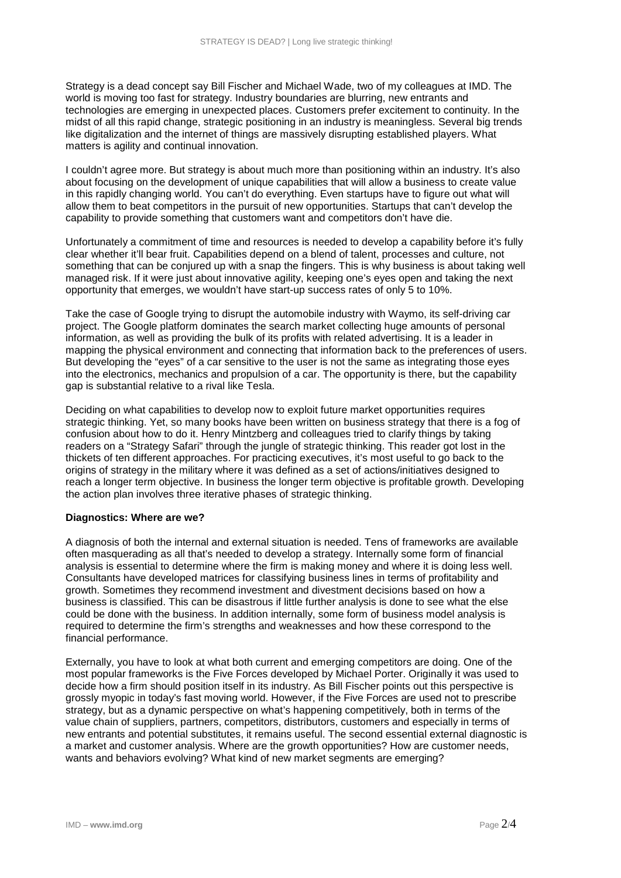Strategy is a dead concept say Bill Fischer and Michael Wade, two of my colleagues at IMD. The world is moving too fast for strategy. Industry boundaries are blurring, new entrants and technologies are emerging in unexpected places. Customers prefer excitement to continuity. In the midst of all this rapid change, strategic positioning in an industry is meaningless. Several big trends like digitalization and the internet of things are massively disrupting established players. What matters is agility and continual innovation.

I couldn't agree more. But strategy is about much more than positioning within an industry. It's also about focusing on the development of unique capabilities that will allow a business to create value in this rapidly changing world. You can't do everything. Even startups have to figure out what will allow them to beat competitors in the pursuit of new opportunities. Startups that can't develop the capability to provide something that customers want and competitors don't have die.

Unfortunately a commitment of time and resources is needed to develop a capability before it's fully clear whether it'll bear fruit. Capabilities depend on a blend of talent, processes and culture, not something that can be conjured up with a snap the fingers. This is why business is about taking well managed risk. If it were just about innovative agility, keeping one's eyes open and taking the next opportunity that emerges, we wouldn't have start-up success rates of only 5 to 10%.

Take the case of Google trying to disrupt the automobile industry with Waymo, its self-driving car project. The Google platform dominates the search market collecting huge amounts of personal information, as well as providing the bulk of its profits with related advertising. It is a leader in mapping the physical environment and connecting that information back to the preferences of users. But developing the "eyes" of a car sensitive to the user is not the same as integrating those eyes into the electronics, mechanics and propulsion of a car. The opportunity is there, but the capability gap is substantial relative to a rival like Tesla.

Deciding on what capabilities to develop now to exploit future market opportunities requires strategic thinking. Yet, so many books have been written on business strategy that there is a fog of confusion about how to do it. Henry Mintzberg and colleagues tried to clarify things by taking readers on a "Strategy Safari" through the jungle of strategic thinking. This reader got lost in the thickets of ten different approaches. For practicing executives, it's most useful to go back to the origins of strategy in the military where it was defined as a set of actions/initiatives designed to reach a longer term objective. In business the longer term objective is profitable growth. Developing the action plan involves three iterative phases of strategic thinking.

### **Diagnostics: Where are we?**

A diagnosis of both the internal and external situation is needed. Tens of frameworks are available often masquerading as all that's needed to develop a strategy. Internally some form of financial analysis is essential to determine where the firm is making money and where it is doing less well. Consultants have developed matrices for classifying business lines in terms of profitability and growth. Sometimes they recommend investment and divestment decisions based on how a business is classified. This can be disastrous if little further analysis is done to see what the else could be done with the business. In addition internally, some form of business model analysis is required to determine the firm's strengths and weaknesses and how these correspond to the financial performance.

Externally, you have to look at what both current and emerging competitors are doing. One of the most popular frameworks is the Five Forces developed by Michael Porter. Originally it was used to decide how a firm should position itself in its industry. As Bill Fischer points out this perspective is grossly myopic in today's fast moving world. However, if the Five Forces are used not to prescribe strategy, but as a dynamic perspective on what's happening competitively, both in terms of the value chain of suppliers, partners, competitors, distributors, customers and especially in terms of new entrants and potential substitutes, it remains useful. The second essential external diagnostic is a market and customer analysis. Where are the growth opportunities? How are customer needs, wants and behaviors evolving? What kind of new market segments are emerging?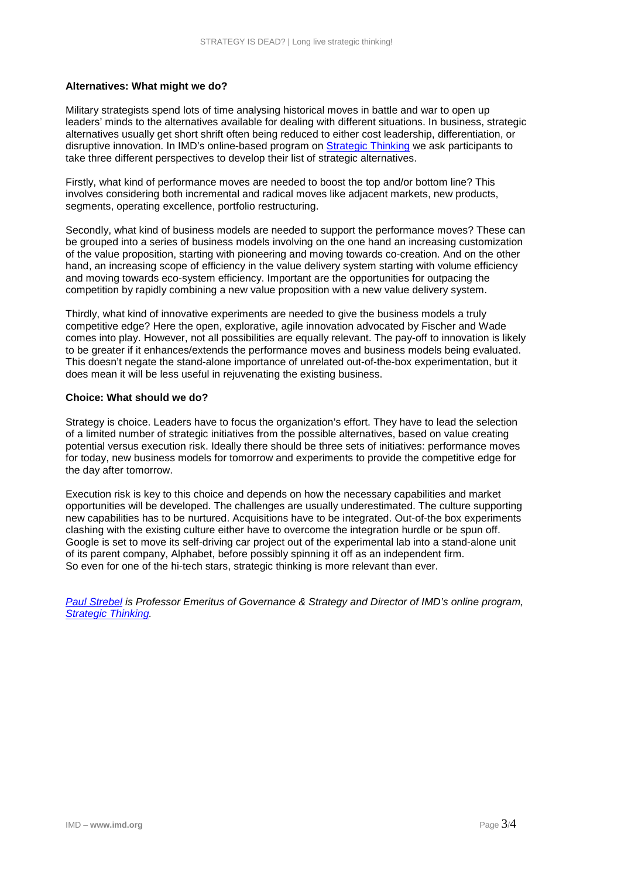### **Alternatives: What might we do?**

Military strategists spend lots of time analysing historical moves in battle and war to open up leaders' minds to the alternatives available for dealing with different situations. In business, strategic alternatives usually get short shrift often being reduced to either cost leadership, differentiation, or disruptive innovation. In IMD's online-based program on [Strategic Thinking](https://www.imd.org/glc/online-business-courses/strategic-thinking/) we ask participants to take three different perspectives to develop their list of strategic alternatives.

Firstly, what kind of performance moves are needed to boost the top and/or bottom line? This involves considering both incremental and radical moves like adjacent markets, new products, segments, operating excellence, portfolio restructuring.

Secondly, what kind of business models are needed to support the performance moves? These can be grouped into a series of business models involving on the one hand an increasing customization of the value proposition, starting with pioneering and moving towards co-creation. And on the other hand, an increasing scope of efficiency in the value delivery system starting with volume efficiency and moving towards eco-system efficiency. Important are the opportunities for outpacing the competition by rapidly combining a new value proposition with a new value delivery system.

Thirdly, what kind of innovative experiments are needed to give the business models a truly competitive edge? Here the open, explorative, agile innovation advocated by Fischer and Wade comes into play. However, not all possibilities are equally relevant. The pay-off to innovation is likely to be greater if it enhances/extends the performance moves and business models being evaluated. This doesn't negate the stand-alone importance of unrelated out-of-the-box experimentation, but it does mean it will be less useful in rejuvenating the existing business.

### **Choice: What should we do?**

Strategy is choice. Leaders have to focus the organization's effort. They have to lead the selection of a limited number of strategic initiatives from the possible alternatives, based on value creating potential versus execution risk. Ideally there should be three sets of initiatives: performance moves for today, new business models for tomorrow and experiments to provide the competitive edge for the day after tomorrow.

Execution risk is key to this choice and depends on how the necessary capabilities and market opportunities will be developed. The challenges are usually underestimated. The culture supporting new capabilities has to be nurtured. Acquisitions have to be integrated. Out-of-the box experiments clashing with the existing culture either have to overcome the integration hurdle or be spun off. Google is set to move its self-driving car project out of the experimental lab into a stand-alone unit of its parent company, Alphabet, before possibly spinning it off as an independent firm. So even for one of the hi-tech stars, strategic thinking is more relevant than ever.

*[Paul Strebel](http://www.imd.org/faculty/professors/paul-strebel/) is Professor Emeritus of Governance & Strategy and Director of IMD's online program, [Strategic Thinking.](https://www.imd.org/glc/online-business-courses/strategic-thinking/)*